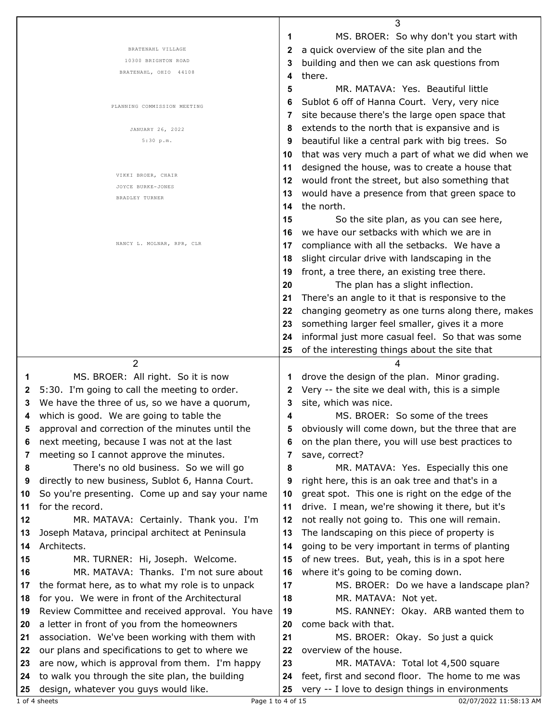|          |                                                                                          |          | 3                                                                                                   |  |  |  |
|----------|------------------------------------------------------------------------------------------|----------|-----------------------------------------------------------------------------------------------------|--|--|--|
|          |                                                                                          | 1        | MS. BROER: So why don't you start with                                                              |  |  |  |
|          | BRATENAHL VILLAGE                                                                        | 2        | a quick overview of the site plan and the                                                           |  |  |  |
|          | 10300 BRIGHTON ROAD                                                                      | 3        | building and then we can ask questions from                                                         |  |  |  |
|          | BRATENAHL, OHIO 44108                                                                    | 4        | there.                                                                                              |  |  |  |
|          |                                                                                          | 5        | MR. MATAVA: Yes. Beautiful little                                                                   |  |  |  |
|          |                                                                                          | 6        | Sublot 6 off of Hanna Court. Very, very nice                                                        |  |  |  |
|          | PLANNING COMMISSION MEETING                                                              | 7        | site because there's the large open space that                                                      |  |  |  |
|          | JANUARY 26, 2022                                                                         | 8        | extends to the north that is expansive and is                                                       |  |  |  |
|          | 5:30 p.m.                                                                                | 9        | beautiful like a central park with big trees. So                                                    |  |  |  |
|          |                                                                                          | 10       | that was very much a part of what we did when we                                                    |  |  |  |
|          |                                                                                          |          |                                                                                                     |  |  |  |
|          | VIKKI BROER, CHAIR                                                                       | 11       | designed the house, was to create a house that                                                      |  |  |  |
|          | JOYCE BURKE-JONES                                                                        | 12       | would front the street, but also something that                                                     |  |  |  |
|          | BRADLEY TURNER                                                                           | 13       | would have a presence from that green space to                                                      |  |  |  |
|          |                                                                                          | 14       | the north.                                                                                          |  |  |  |
|          |                                                                                          | 15       | So the site plan, as you can see here,                                                              |  |  |  |
|          |                                                                                          | 16       | we have our setbacks with which we are in                                                           |  |  |  |
|          | NANCY L. MOLNAR, RPR, CLR                                                                | 17       | compliance with all the setbacks. We have a                                                         |  |  |  |
|          |                                                                                          | 18       | slight circular drive with landscaping in the                                                       |  |  |  |
|          |                                                                                          | 19       | front, a tree there, an existing tree there.                                                        |  |  |  |
|          |                                                                                          | 20       | The plan has a slight inflection.                                                                   |  |  |  |
|          |                                                                                          | 21       | There's an angle to it that is responsive to the                                                    |  |  |  |
|          |                                                                                          | 22       | changing geometry as one turns along there, makes                                                   |  |  |  |
|          |                                                                                          | 23       | something larger feel smaller, gives it a more                                                      |  |  |  |
|          |                                                                                          | 24       | informal just more casual feel. So that was some                                                    |  |  |  |
|          |                                                                                          | 25       | of the interesting things about the site that                                                       |  |  |  |
|          |                                                                                          |          |                                                                                                     |  |  |  |
|          |                                                                                          |          |                                                                                                     |  |  |  |
|          | $\overline{2}$                                                                           |          | Δ                                                                                                   |  |  |  |
| 1        | MS. BROER: All right. So it is now                                                       | 1        | drove the design of the plan. Minor grading.                                                        |  |  |  |
| 2        | 5:30. I'm going to call the meeting to order.                                            | 2        | Very -- the site we deal with, this is a simple                                                     |  |  |  |
| 3        | We have the three of us, so we have a quorum,                                            | 3        | site, which was nice.                                                                               |  |  |  |
| 4        | which is good. We are going to table the                                                 | 4        | MS. BROER: So some of the trees                                                                     |  |  |  |
|          | approval and correction of the minutes until the                                         |          | obviously will come down, but the three that are                                                    |  |  |  |
| 6        | next meeting, because I was not at the last                                              | 6        | on the plan there, you will use best practices to                                                   |  |  |  |
| 7        | meeting so I cannot approve the minutes.                                                 | 7        | save, correct?                                                                                      |  |  |  |
| 8        | There's no old business. So we will go                                                   | 8        | MR. MATAVA: Yes. Especially this one                                                                |  |  |  |
| 9        | directly to new business, Sublot 6, Hanna Court.                                         | 9        | right here, this is an oak tree and that's in a                                                     |  |  |  |
| 10       | So you're presenting. Come up and say your name                                          | 10       | great spot. This one is right on the edge of the                                                    |  |  |  |
| 11       | for the record.                                                                          | 11       | drive. I mean, we're showing it there, but it's                                                     |  |  |  |
| 12       | MR. MATAVA: Certainly. Thank you. I'm                                                    | 12       | not really not going to. This one will remain.                                                      |  |  |  |
| 13       | Joseph Matava, principal architect at Peninsula                                          | 13       | The landscaping on this piece of property is                                                        |  |  |  |
| 14       | Architects.                                                                              | 14       | going to be very important in terms of planting                                                     |  |  |  |
| 15       | MR. TURNER: Hi, Joseph. Welcome.                                                         | 15       | of new trees. But, yeah, this is in a spot here                                                     |  |  |  |
| 16       | MR. MATAVA: Thanks. I'm not sure about                                                   | 16       | where it's going to be coming down.                                                                 |  |  |  |
| 17       |                                                                                          | 17       |                                                                                                     |  |  |  |
|          | the format here, as to what my role is to unpack                                         | 18       | MS. BROER: Do we have a landscape plan?                                                             |  |  |  |
| 18       | for you. We were in front of the Architectural                                           | 19       | MR. MATAVA: Not yet.                                                                                |  |  |  |
| 19       | Review Committee and received approval. You have                                         | 20       | MS. RANNEY: Okay. ARB wanted them to                                                                |  |  |  |
| 20       | a letter in front of you from the homeowners                                             |          | come back with that.                                                                                |  |  |  |
| 21       | association. We've been working with them with                                           | 21       | MS. BROER: Okay. So just a quick                                                                    |  |  |  |
| 22       | our plans and specifications to get to where we                                          | 22       | overview of the house.                                                                              |  |  |  |
| 23       | are now, which is approval from them. I'm happy                                          | 23       | MR. MATAVA: Total lot 4,500 square                                                                  |  |  |  |
| 24<br>25 | to walk you through the site plan, the building<br>design, whatever you guys would like. | 24<br>25 | feet, first and second floor. The home to me was<br>very -- I love to design things in environments |  |  |  |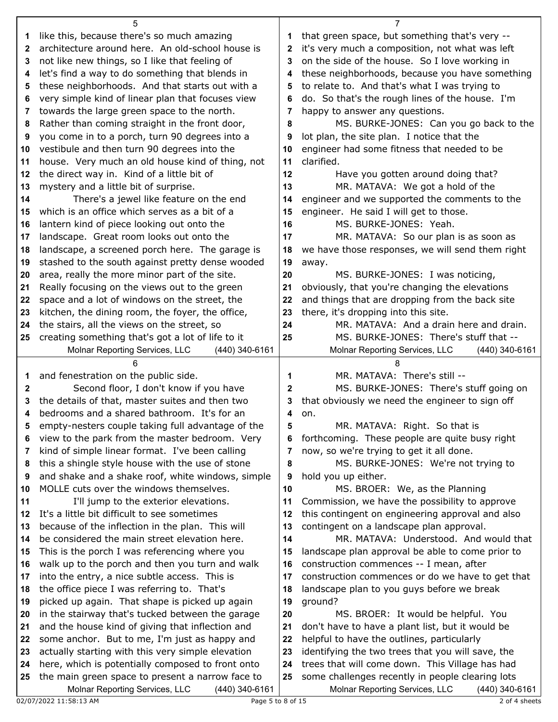|          | 5                                                                                                 |          |                                                                                             |
|----------|---------------------------------------------------------------------------------------------------|----------|---------------------------------------------------------------------------------------------|
| 1        | like this, because there's so much amazing                                                        | 1        | that green space, but something that's very --                                              |
| 2        | architecture around here. An old-school house is                                                  | 2        | it's very much a composition, not what was left                                             |
| 3        | not like new things, so I like that feeling of                                                    | 3        | on the side of the house. So I love working in                                              |
| 4        | let's find a way to do something that blends in                                                   | 4        | these neighborhoods, because you have something                                             |
| 5        | these neighborhoods. And that starts out with a                                                   | 5        | to relate to. And that's what I was trying to                                               |
| 6        | very simple kind of linear plan that focuses view                                                 | 6        | do. So that's the rough lines of the house. I'm                                             |
| 7        | towards the large green space to the north.                                                       | 7        | happy to answer any questions.                                                              |
| 8        | Rather than coming straight in the front door,                                                    | 8        | MS. BURKE-JONES: Can you go back to the                                                     |
| 9        | you come in to a porch, turn 90 degrees into a                                                    | 9        | lot plan, the site plan. I notice that the                                                  |
| 10       | vestibule and then turn 90 degrees into the                                                       | 10       | engineer had some fitness that needed to be                                                 |
| 11       | house. Very much an old house kind of thing, not                                                  | 11       | clarified.                                                                                  |
| 12       | the direct way in. Kind of a little bit of                                                        | 12       | Have you gotten around doing that?                                                          |
| 13       | mystery and a little bit of surprise.                                                             | 13       | MR. MATAVA: We got a hold of the                                                            |
| 14       | There's a jewel like feature on the end                                                           | 14       | engineer and we supported the comments to the                                               |
| 15       | which is an office which serves as a bit of a                                                     | 15       | engineer. He said I will get to those.                                                      |
| 16       | lantern kind of piece looking out onto the                                                        | 16       | MS. BURKE-JONES: Yeah.                                                                      |
| 17       | landscape. Great room looks out onto the                                                          | 17       | MR. MATAVA: So our plan is as soon as                                                       |
| 18       | landscape, a screened porch here. The garage is                                                   | 18       | we have those responses, we will send them right                                            |
| 19       | stashed to the south against pretty dense wooded                                                  | 19       | away.                                                                                       |
| 20       | area, really the more minor part of the site.                                                     | 20       | MS. BURKE-JONES: I was noticing,                                                            |
| 21       | Really focusing on the views out to the green                                                     | 21       | obviously, that you're changing the elevations                                              |
| 22       | space and a lot of windows on the street, the                                                     | 22       | and things that are dropping from the back site                                             |
| 23       | kitchen, the dining room, the foyer, the office,                                                  | 23       | there, it's dropping into this site.                                                        |
| 24       | the stairs, all the views on the street, so                                                       | 24       | MR. MATAVA: And a drain here and drain.                                                     |
| 25       | creating something that's got a lot of life to it                                                 | 25       | MS. BURKE-JONES: There's stuff that --                                                      |
|          | Molnar Reporting Services, LLC<br>(440) 340-6161                                                  |          | Molnar Reporting Services, LLC<br>$(440)$ 340-6161                                          |
|          |                                                                                                   |          |                                                                                             |
|          | 6                                                                                                 |          | 8                                                                                           |
| 1        | and fenestration on the public side.                                                              | 1        | MR. MATAVA: There's still --                                                                |
| 2        | Second floor, I don't know if you have                                                            | 2        | MS. BURKE-JONES: There's stuff going on                                                     |
| 3        | the details of that, master suites and then two                                                   | 3        | that obviously we need the engineer to sign off                                             |
| 4        | bedrooms and a shared bathroom. It's for an                                                       | 4        | on.                                                                                         |
| 5        | empty-nesters couple taking full advantage of the                                                 | 5        | MR. MATAVA: Right. So that is                                                               |
| 6        | view to the park from the master bedroom. Very                                                    | 6        | forthcoming. These people are quite busy right                                              |
| 7        | kind of simple linear format. I've been calling                                                   | 7        | now, so we're trying to get it all done.                                                    |
| 8        | this a shingle style house with the use of stone                                                  | 8        | MS. BURKE-JONES: We're not trying to                                                        |
| 9        | and shake and a shake roof, white windows, simple                                                 | 9        | hold you up either.                                                                         |
| 10       | MOLLE cuts over the windows themselves.                                                           | 10       | MS. BROER: We, as the Planning                                                              |
| 11       | I'll jump to the exterior elevations.                                                             | 11       | Commission, we have the possibility to approve                                              |
| 12       | It's a little bit difficult to see sometimes                                                      | 12       | this contingent on engineering approval and also                                            |
| 13<br>14 | because of the inflection in the plan. This will<br>be considered the main street elevation here. | 13       | contingent on a landscape plan approval.<br>MR. MATAVA: Understood. And would that          |
| 15       |                                                                                                   | 14<br>15 |                                                                                             |
| 16       | This is the porch I was referencing where you                                                     | 16       | landscape plan approval be able to come prior to                                            |
| 17       | walk up to the porch and then you turn and walk                                                   | 17       | construction commences -- I mean, after<br>construction commences or do we have to get that |
| 18       | into the entry, a nice subtle access. This is<br>the office piece I was referring to. That's      | 18       | landscape plan to you guys before we break                                                  |
| 19       | picked up again. That shape is picked up again                                                    | 19       | ground?                                                                                     |
| 20       | in the stairway that's tucked between the garage                                                  | 20       | MS. BROER: It would be helpful. You                                                         |
| 21       | and the house kind of giving that inflection and                                                  | 21       | don't have to have a plant list, but it would be                                            |
| 22       | some anchor. But to me, I'm just as happy and                                                     | 22       | helpful to have the outlines, particularly                                                  |
| 23       | actually starting with this very simple elevation                                                 | 23       | identifying the two trees that you will save, the                                           |
| 24       | here, which is potentially composed to front onto                                                 | 24       | trees that will come down. This Village has had                                             |
| 25       | the main green space to present a narrow face to                                                  | 25       | some challenges recently in people clearing lots                                            |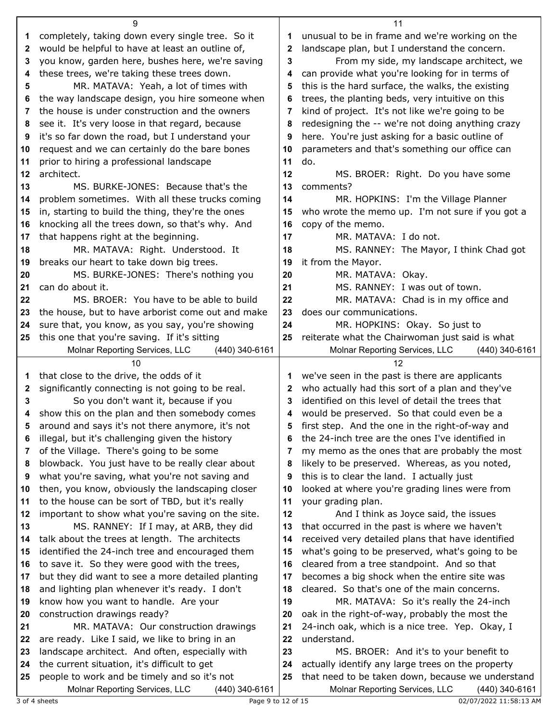|                   | 9                                                                                            | 11       |                                                                                                        |  |  |
|-------------------|----------------------------------------------------------------------------------------------|----------|--------------------------------------------------------------------------------------------------------|--|--|
| 1                 | completely, taking down every single tree. So it                                             | 1        | unusual to be in frame and we're working on the                                                        |  |  |
| $\mathbf{2}$      | would be helpful to have at least an outline of,                                             | 2        | landscape plan, but I understand the concern.                                                          |  |  |
| 3                 | you know, garden here, bushes here, we're saving                                             | 3        | From my side, my landscape architect, we                                                               |  |  |
| 4                 | these trees, we're taking these trees down.                                                  | 4        | can provide what you're looking for in terms of                                                        |  |  |
| 5                 | MR. MATAVA: Yeah, a lot of times with                                                        | 5        | this is the hard surface, the walks, the existing                                                      |  |  |
| 6                 | the way landscape design, you hire someone when                                              | 6        | trees, the planting beds, very intuitive on this                                                       |  |  |
| 7                 | the house is under construction and the owners                                               | 7        | kind of project. It's not like we're going to be                                                       |  |  |
| 8                 | see it. It's very loose in that regard, because                                              | 8        | redesigning the -- we're not doing anything crazy                                                      |  |  |
| 9                 | it's so far down the road, but I understand your                                             | 9        | here. You're just asking for a basic outline of                                                        |  |  |
| 10                | request and we can certainly do the bare bones                                               | 10       | parameters and that's something our office can                                                         |  |  |
| 11                | prior to hiring a professional landscape                                                     | 11       | do.                                                                                                    |  |  |
| $12 \overline{ }$ | architect.                                                                                   | 12       | MS. BROER: Right. Do you have some                                                                     |  |  |
| 13                | MS. BURKE-JONES: Because that's the                                                          | 13       | comments?                                                                                              |  |  |
| 14                | problem sometimes. With all these trucks coming                                              | 14       | MR. HOPKINS: I'm the Village Planner                                                                   |  |  |
| 15                | in, starting to build the thing, they're the ones                                            | 15       | who wrote the memo up. I'm not sure if you got a                                                       |  |  |
| 16                | knocking all the trees down, so that's why. And                                              | 16       | copy of the memo.                                                                                      |  |  |
| 17                | that happens right at the beginning.                                                         | 17       | MR. MATAVA: I do not.                                                                                  |  |  |
| 18                | MR. MATAVA: Right. Understood. It                                                            | 18       | MS. RANNEY: The Mayor, I think Chad got                                                                |  |  |
| 19                | breaks our heart to take down big trees.                                                     | 19       | it from the Mayor.                                                                                     |  |  |
| 20                | MS. BURKE-JONES: There's nothing you                                                         | 20       | MR. MATAVA: Okay.                                                                                      |  |  |
| 21                | can do about it.                                                                             | 21       | MS. RANNEY: I was out of town.                                                                         |  |  |
| 22                | MS. BROER: You have to be able to build                                                      | 22       | MR. MATAVA: Chad is in my office and                                                                   |  |  |
| 23                | the house, but to have arborist come out and make                                            | 23       | does our communications.                                                                               |  |  |
| 24                | sure that, you know, as you say, you're showing                                              | 24       | MR. HOPKINS: Okay. So just to                                                                          |  |  |
| 25                | this one that you're saving. If it's sitting                                                 | 25       | reiterate what the Chairwoman just said is what                                                        |  |  |
|                   | (440) 340-6161<br>Molnar Reporting Services, LLC                                             |          | Molnar Reporting Services, LLC<br>(440) 340-6161                                                       |  |  |
|                   |                                                                                              |          |                                                                                                        |  |  |
|                   | 10                                                                                           |          | 12                                                                                                     |  |  |
| 1                 | that close to the drive, the odds of it                                                      | 1        | we've seen in the past is there are applicants                                                         |  |  |
| 2                 | significantly connecting is not going to be real.                                            | 2        | who actually had this sort of a plan and they've                                                       |  |  |
| 3                 | So you don't want it, because if you                                                         | 3        | identified on this level of detail the trees that                                                      |  |  |
| 4                 | show this on the plan and then somebody comes                                                | 4        | would be preserved. So that could even be a                                                            |  |  |
| 5                 | around and says it's not there anymore, it's not                                             | 5        | first step. And the one in the right-of-way and                                                        |  |  |
| 6                 | illegal, but it's challenging given the history                                              | 6        | the 24-inch tree are the ones I've identified in                                                       |  |  |
| 7                 | of the Village. There's going to be some                                                     | 7        | my memo as the ones that are probably the most                                                         |  |  |
| 8                 | blowback. You just have to be really clear about                                             | 8        | likely to be preserved. Whereas, as you noted,                                                         |  |  |
| 9                 | what you're saving, what you're not saving and                                               | 9        | this is to clear the land. I actually just                                                             |  |  |
| 10                | then, you know, obviously the landscaping closer                                             | 10       | looked at where you're grading lines were from                                                         |  |  |
| 11                | to the house can be sort of TBD, but it's really                                             | 11       | your grading plan.                                                                                     |  |  |
| 12                | important to show what you're saving on the site.                                            | 12       | And I think as Joyce said, the issues                                                                  |  |  |
| 13                | MS. RANNEY: If I may, at ARB, they did                                                       | 13       | that occurred in the past is where we haven't                                                          |  |  |
| 14                | talk about the trees at length. The architects                                               | 14       | received very detailed plans that have identified                                                      |  |  |
| 15                | identified the 24-inch tree and encouraged them                                              | 15       | what's going to be preserved, what's going to be                                                       |  |  |
| 16                | to save it. So they were good with the trees,                                                | 16       | cleared from a tree standpoint. And so that                                                            |  |  |
| 17                | but they did want to see a more detailed planting                                            | 17       | becomes a big shock when the entire site was                                                           |  |  |
| 18                | and lighting plan whenever it's ready. I don't                                               | 18       | cleared. So that's one of the main concerns.                                                           |  |  |
| 19                | know how you want to handle. Are your                                                        | 19       | MR. MATAVA: So it's really the 24-inch                                                                 |  |  |
| 20                | construction drawings ready?                                                                 | 20       | oak in the right-of-way, probably the most the                                                         |  |  |
| 21                | MR. MATAVA: Our construction drawings                                                        | 21       | 24-inch oak, which is a nice tree. Yep. Okay, I                                                        |  |  |
| 22                | are ready. Like I said, we like to bring in an                                               | 22       | understand.                                                                                            |  |  |
| 23                | landscape architect. And often, especially with                                              | 23       | MS. BROER: And it's to your benefit to                                                                 |  |  |
| 24<br>25          | the current situation, it's difficult to get<br>people to work and be timely and so it's not | 24<br>25 | actually identify any large trees on the property<br>that need to be taken down, because we understand |  |  |